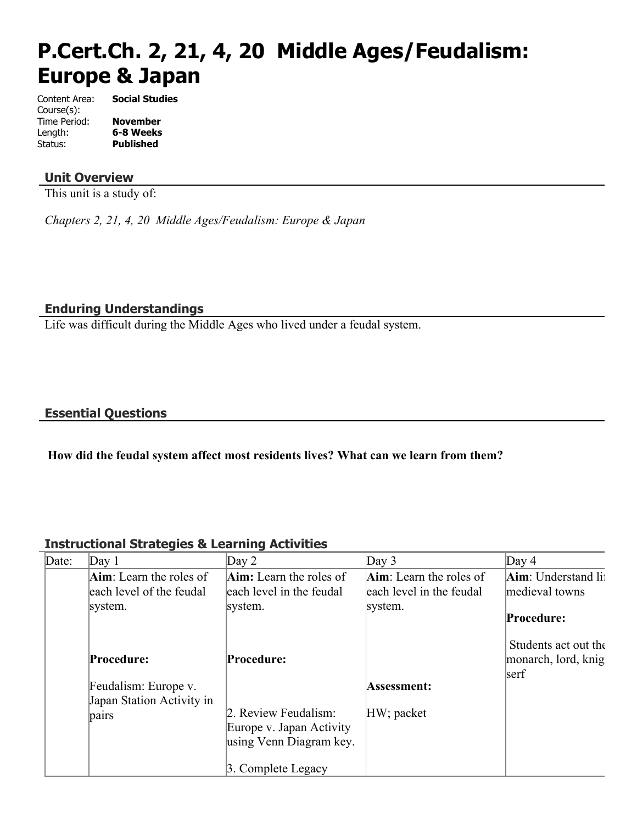# **P.Cert.Ch. 2, 21, 4, 20 Middle Ages/Feudalism: Europe & Japan**

| Content Area: | <b>Social Studies</b> |
|---------------|-----------------------|
| Course(s):    |                       |
| Time Period:  | <b>November</b>       |
| Length:       | 6-8 Weeks             |
| Status:       | Published             |

#### **Unit Overview**

This unit is a study of:

*Chapters 2, 21, 4, 20 Middle Ages/Feudalism: Europe & Japan*

#### **Enduring Understandings**

Life was difficult during the Middle Ages who lived under a feudal system.

#### **Essential Questions**

#### **How did the feudal system affect most residents lives? What can we learn from them?**

#### **Instructional Strategies & Learning Activities**

| Date: | $\text{Day} 1$                  | Day $2$                        | Day $3$                         | Day 4                       |
|-------|---------------------------------|--------------------------------|---------------------------------|-----------------------------|
|       | <b>Aim</b> : Learn the roles of | <b>Aim:</b> Learn the roles of | <b>Aim</b> : Learn the roles of | <b>Aim</b> : Understand lit |
|       | each level of the feudal        | each level in the feudal       | each level in the feudal        | medieval towns              |
|       | system.                         | system.                        | system.                         |                             |
|       |                                 |                                |                                 | Procedure:                  |
|       |                                 |                                |                                 |                             |
|       |                                 |                                |                                 | Students act out the        |
|       | Procedure:                      | Procedure:                     |                                 | monarch, lord, knig         |
|       |                                 |                                |                                 | serf                        |
|       | Feudalism: Europe v.            |                                | Assessment:                     |                             |
|       | Japan Station Activity in       |                                |                                 |                             |
|       | pairs                           | 2. Review Feudalism:           | HW; packet                      |                             |
|       |                                 | Europe v. Japan Activity       |                                 |                             |
|       |                                 | using Venn Diagram key.        |                                 |                             |
|       |                                 |                                |                                 |                             |
|       |                                 | 3. Complete Legacy             |                                 |                             |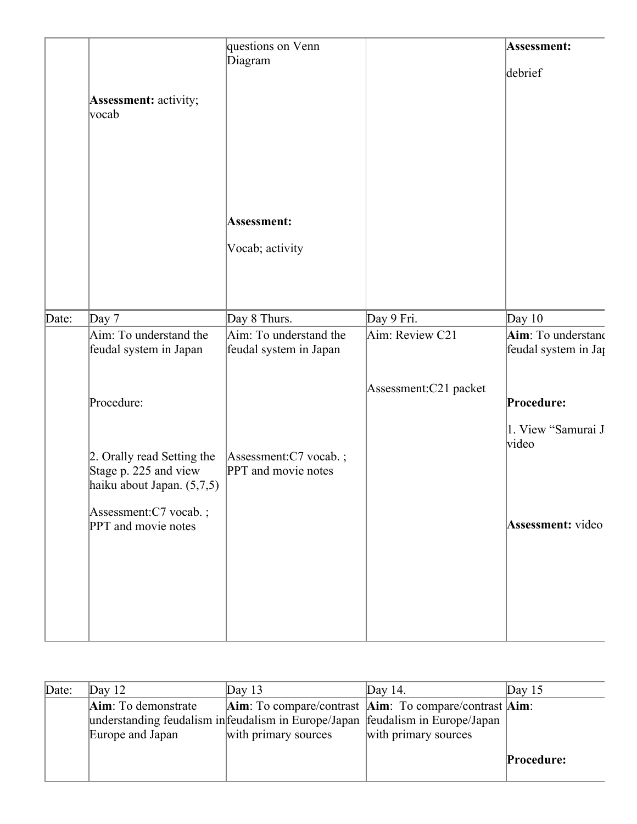|       | <b>Assessment:</b> activity;<br> vocab                                                                                            | questions on Venn<br>Diagram                     |                       | Assessment:<br>debrief                           |
|-------|-----------------------------------------------------------------------------------------------------------------------------------|--------------------------------------------------|-----------------------|--------------------------------------------------|
|       |                                                                                                                                   | Assessment:<br>Vocab; activity                   |                       |                                                  |
| Date: | Day $7$                                                                                                                           | Day 8 Thurs.                                     | Day 9 Fri.            | Day $10$                                         |
|       | Aim: To understand the<br>feudal system in Japan                                                                                  | Aim: To understand the<br>feudal system in Japan | Aim: Review C21       | Aim: To understand<br>feudal system in Jap       |
|       | Procedure:                                                                                                                        |                                                  | Assessment:C21 packet | Procedure:                                       |
|       | 2. Orally read Setting the<br>Stage p. 225 and view<br>haiku about Japan. (5,7,5)<br>Assessment:C7 vocab.;<br>PPT and movie notes | Assessment:C7 vocab.;<br>PPT and movie notes     |                       | 1. View "Samurai J<br>video<br>Assessment: video |
|       |                                                                                                                                   |                                                  |                       |                                                  |

| Date: | Day $12$            | Day $13$             | Day 14.                                                                          | Day $15$          |
|-------|---------------------|----------------------|----------------------------------------------------------------------------------|-------------------|
|       | Aim: To demonstrate |                      | <b>Aim</b> : To compare/contrast <b>Aim</b> : To compare/contrast <b>Aim</b> :   |                   |
|       |                     |                      | understanding feudalism in feudalism in Europe/Japan   feudalism in Europe/Japan |                   |
|       | Europe and Japan    | with primary sources | with primary sources                                                             |                   |
|       |                     |                      |                                                                                  |                   |
|       |                     |                      |                                                                                  | <b>Procedure:</b> |
|       |                     |                      |                                                                                  |                   |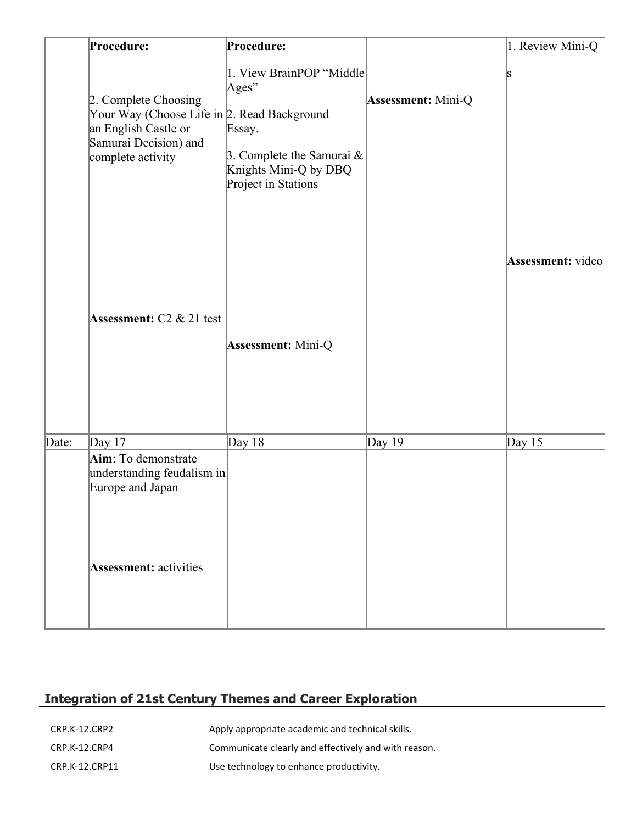|       | Procedure:                                                                                                                                | Procedure:                                                                                                                  |                           | 1. Review Mini-Q         |
|-------|-------------------------------------------------------------------------------------------------------------------------------------------|-----------------------------------------------------------------------------------------------------------------------------|---------------------------|--------------------------|
|       | 2. Complete Choosing<br>Your Way (Choose Life in 2. Read Background<br>an English Castle or<br>Samurai Decision) and<br>complete activity | 1. View BrainPOP "Middle<br>Ages"<br>Essay.<br>3. Complete the Samurai $\&$<br>Knights Mini-Q by DBQ<br>Project in Stations | <b>Assessment: Mini-Q</b> | S                        |
|       | <b>Assessment:</b> C2 $\&$ 21 test                                                                                                        | <b>Assessment:</b> Mini-Q                                                                                                   |                           | <b>Assessment:</b> video |
| Date: | Day $17$                                                                                                                                  | Day $18$                                                                                                                    | Day 19                    | Day $15$                 |
|       | Aim: To demonstrate<br>understanding feudalism in<br>Europe and Japan<br><b>Assessment:</b> activities                                    |                                                                                                                             |                           |                          |

# **Integration of 21st Century Themes and Career Exploration**

| CRP.K-12.CRP2  | Apply appropriate academic and technical skills.     |
|----------------|------------------------------------------------------|
| CRP.K-12.CRP4  | Communicate clearly and effectively and with reason. |
| CRP.K-12.CRP11 | Use technology to enhance productivity.              |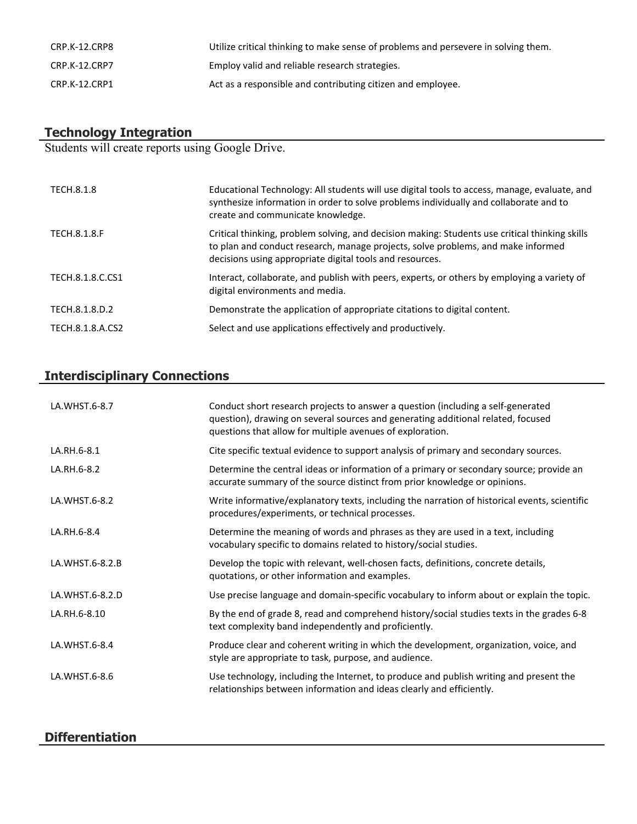| CRP.K-12.CRP8 | Utilize critical thinking to make sense of problems and persevere in solving them. |
|---------------|------------------------------------------------------------------------------------|
| CRP.K-12.CRP7 | Employ valid and reliable research strategies.                                     |
| CRP.K-12.CRP1 | Act as a responsible and contributing citizen and employee.                        |

#### **Technology Integration**

Students will create reports using Google Drive.

| TECH.8.1.8          | Educational Technology: All students will use digital tools to access, manage, evaluate, and<br>synthesize information in order to solve problems individually and collaborate and to<br>create and communicate knowledge.                     |
|---------------------|------------------------------------------------------------------------------------------------------------------------------------------------------------------------------------------------------------------------------------------------|
| <b>TECH.8.1.8.F</b> | Critical thinking, problem solving, and decision making: Students use critical thinking skills<br>to plan and conduct research, manage projects, solve problems, and make informed<br>decisions using appropriate digital tools and resources. |
| TECH.8.1.8.C.CS1    | Interact, collaborate, and publish with peers, experts, or others by employing a variety of<br>digital environments and media.                                                                                                                 |
| TECH.8.1.8.D.2      | Demonstrate the application of appropriate citations to digital content.                                                                                                                                                                       |
| TECH.8.1.8.A.CS2    | Select and use applications effectively and productively.                                                                                                                                                                                      |

# **Interdisciplinary Connections**

| LA.WHST.6-8.7   | Conduct short research projects to answer a question (including a self-generated<br>question), drawing on several sources and generating additional related, focused<br>questions that allow for multiple avenues of exploration. |
|-----------------|-----------------------------------------------------------------------------------------------------------------------------------------------------------------------------------------------------------------------------------|
| LA.RH.6-8.1     | Cite specific textual evidence to support analysis of primary and secondary sources.                                                                                                                                              |
| LA.RH.6-8.2     | Determine the central ideas or information of a primary or secondary source; provide an<br>accurate summary of the source distinct from prior knowledge or opinions.                                                              |
| LA.WHST.6-8.2   | Write informative/explanatory texts, including the narration of historical events, scientific<br>procedures/experiments, or technical processes.                                                                                  |
| LA.RH.6-8.4     | Determine the meaning of words and phrases as they are used in a text, including<br>vocabulary specific to domains related to history/social studies.                                                                             |
| LA.WHST.6-8.2.B | Develop the topic with relevant, well-chosen facts, definitions, concrete details,<br>quotations, or other information and examples.                                                                                              |
| LA.WHST.6-8.2.D | Use precise language and domain-specific vocabulary to inform about or explain the topic.                                                                                                                                         |
| LA.RH.6-8.10    | By the end of grade 8, read and comprehend history/social studies texts in the grades 6-8<br>text complexity band independently and proficiently.                                                                                 |
| LA.WHST.6-8.4   | Produce clear and coherent writing in which the development, organization, voice, and<br>style are appropriate to task, purpose, and audience.                                                                                    |
| LA.WHST.6-8.6   | Use technology, including the Internet, to produce and publish writing and present the<br>relationships between information and ideas clearly and efficiently.                                                                    |

### **Differentiation**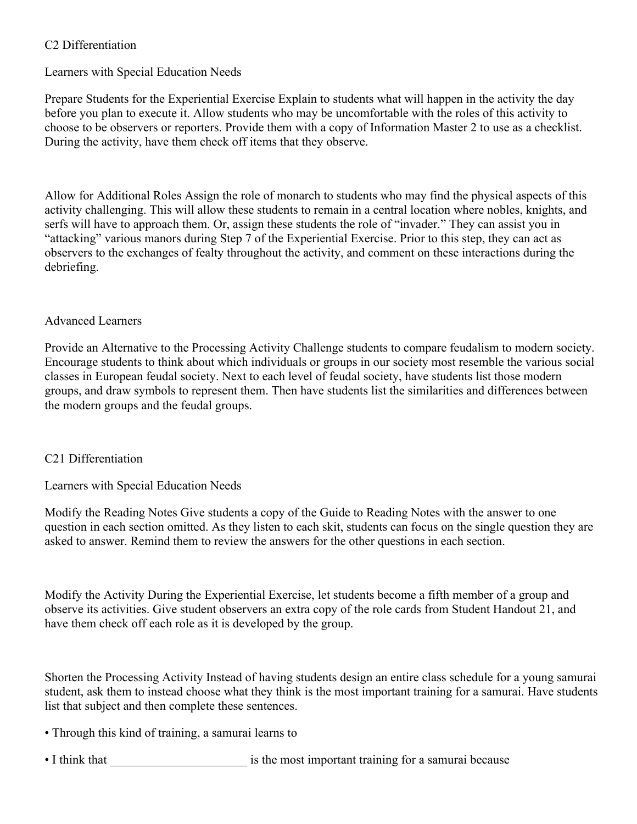#### C2 Differentiation

#### Learners with Special Education Needs

Prepare Students for the Experiential Exercise Explain to students what will happen in the activity the day before you plan to execute it. Allow students who may be uncomfortable with the roles of this activity to choose to be observers or reporters. Provide them with a copy of Information Master 2 to use as a checklist. During the activity, have them check off items that they observe.

Allow for Additional Roles Assign the role of monarch to students who may find the physical aspects of this activity challenging. This will allow these students to remain in a central location where nobles, knights, and serfs will have to approach them. Or, assign these students the role of "invader." They can assist you in "attacking" various manors during Step 7 of the Experiential Exercise. Prior to this step, they can act as observers to the exchanges of fealty throughout the activity, and comment on these interactions during the debriefing.

#### Advanced Learners

Provide an Alternative to the Processing Activity Challenge students to compare feudalism to modern society. Encourage students to think about which individuals or groups in our society most resemble the various social classes in European feudal society. Next to each level of feudal society, have students list those modern groups, and draw symbols to represent them. Then have students list the similarities and differences between the modern groups and the feudal groups.

#### C21 Differentiation

Learners with Special Education Needs

Modify the Reading Notes Give students a copy of the Guide to Reading Notes with the answer to one question in each section omitted. As they listen to each skit, students can focus on the single question they are asked to answer. Remind them to review the answers for the other questions in each section.

Modify the Activity During the Experiential Exercise, let students become a fifth member of a group and observe its activities. Give student observers an extra copy of the role cards from Student Handout 21, and have them check off each role as it is developed by the group.

Shorten the Processing Activity Instead of having students design an entire class schedule for a young samurai student, ask them to instead choose what they think is the most important training for a samurai. Have students list that subject and then complete these sentences.

- Through this kind of training, a samurai learns to
- I think that **Latter and Solution is the most important training for a samurai because**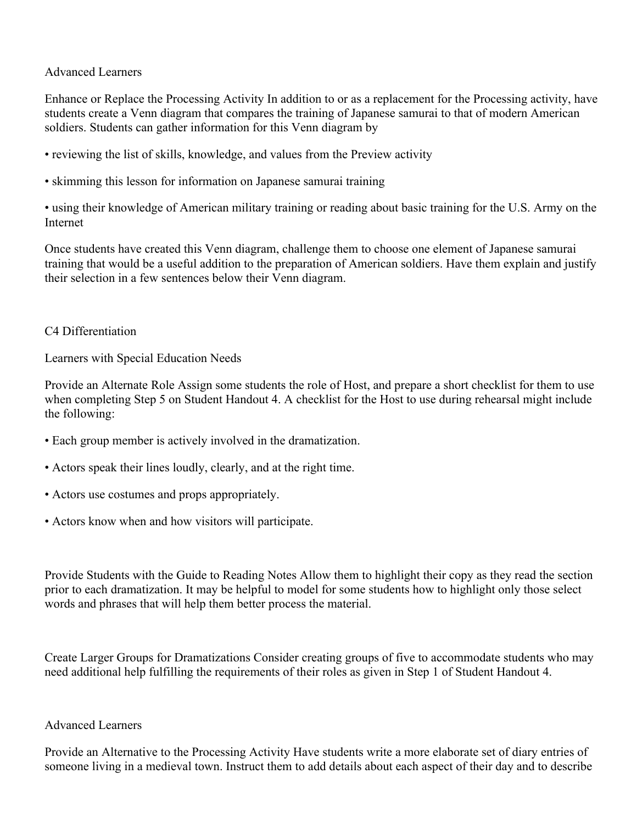Advanced Learners

Enhance or Replace the Processing Activity In addition to or as a replacement for the Processing activity, have students create a Venn diagram that compares the training of Japanese samurai to that of modern American soldiers. Students can gather information for this Venn diagram by

• reviewing the list of skills, knowledge, and values from the Preview activity

• skimming this lesson for information on Japanese samurai training

• using their knowledge of American military training or reading about basic training for the U.S. Army on the Internet

Once students have created this Venn diagram, challenge them to choose one element of Japanese samurai training that would be a useful addition to the preparation of American soldiers. Have them explain and justify their selection in a few sentences below their Venn diagram.

#### C4 Differentiation

Learners with Special Education Needs

Provide an Alternate Role Assign some students the role of Host, and prepare a short checklist for them to use when completing Step 5 on Student Handout 4. A checklist for the Host to use during rehearsal might include the following:

- Each group member is actively involved in the dramatization.
- Actors speak their lines loudly, clearly, and at the right time.
- Actors use costumes and props appropriately.
- Actors know when and how visitors will participate.

Provide Students with the Guide to Reading Notes Allow them to highlight their copy as they read the section prior to each dramatization. It may be helpful to model for some students how to highlight only those select words and phrases that will help them better process the material.

Create Larger Groups for Dramatizations Consider creating groups of five to accommodate students who may need additional help fulfilling the requirements of their roles as given in Step 1 of Student Handout 4.

#### Advanced Learners

Provide an Alternative to the Processing Activity Have students write a more elaborate set of diary entries of someone living in a medieval town. Instruct them to add details about each aspect of their day and to describe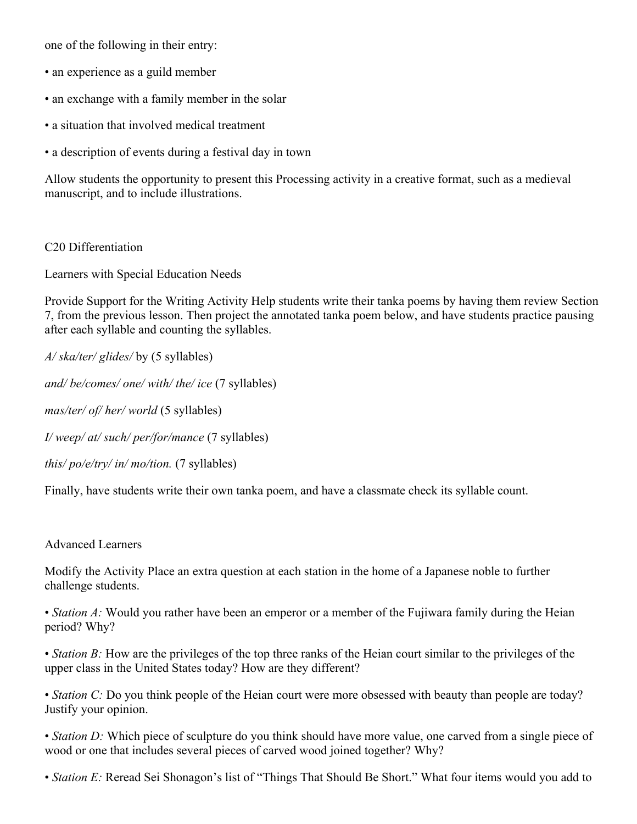one of the following in their entry:

- an experience as a guild member
- an exchange with a family member in the solar
- a situation that involved medical treatment
- a description of events during a festival day in town

Allow students the opportunity to present this Processing activity in a creative format, such as a medieval manuscript, and to include illustrations.

#### C20 Differentiation

Learners with Special Education Needs

Provide Support for the Writing Activity Help students write their tanka poems by having them review Section 7, from the previous lesson. Then project the annotated tanka poem below, and have students practice pausing after each syllable and counting the syllables.

*A/ ska/ter/ glides/* by (5 syllables)

*and/ be/comes/ one/ with/ the/ ice* (7 syllables)

*mas/ter/ of/ her/ world* (5 syllables)

*I/ weep/ at/ such/ per/for/mance* (7 syllables)

*this/ po/e/try/ in/ mo/tion.* (7 syllables)

Finally, have students write their own tanka poem, and have a classmate check its syllable count.

#### Advanced Learners

Modify the Activity Place an extra question at each station in the home of a Japanese noble to further challenge students.

• *Station A*: Would you rather have been an emperor or a member of the Fujiwara family during the Heian period? Why?

• *Station B*: How are the privileges of the top three ranks of the Heian court similar to the privileges of the upper class in the United States today? How are they different?

• *Station C:* Do you think people of the Heian court were more obsessed with beauty than people are today? Justify your opinion.

• *Station D:* Which piece of sculpture do you think should have more value, one carved from a single piece of wood or one that includes several pieces of carved wood joined together? Why?

• *Station E:* Reread Sei Shonagon's list of "Things That Should Be Short." What four items would you add to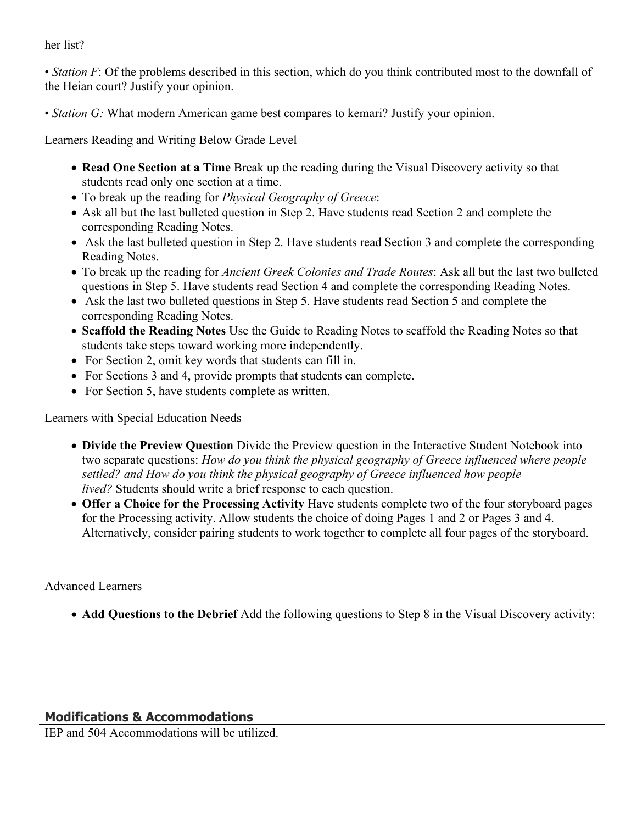her list?

• *Station F*: Of the problems described in this section, which do you think contributed most to the downfall of the Heian court? Justify your opinion.

• *Station G:* What modern American game best compares to kemari? Justify your opinion.

Learners Reading and Writing Below Grade Level

- **Read One Section at a Time** Break up the reading during the Visual Discovery activity so that students read only one section at a time.
- To break up the reading for *Physical Geography of Greece*:
- Ask all but the last bulleted question in Step 2. Have students read Section 2 and complete the corresponding Reading Notes.
- Ask the last bulleted question in Step 2. Have students read Section 3 and complete the corresponding Reading Notes.
- To break up the reading for *Ancient Greek Colonies and Trade Routes*: Ask all but the last two bulleted questions in Step 5. Have students read Section 4 and complete the corresponding Reading Notes.
- Ask the last two bulleted questions in Step 5. Have students read Section 5 and complete the corresponding Reading Notes.
- **Scaffold the Reading Notes** Use the Guide to Reading Notes to scaffold the Reading Notes so that students take steps toward working more independently.
- For Section 2, omit key words that students can fill in.
- For Sections 3 and 4, provide prompts that students can complete.
- For Section 5, have students complete as written.

Learners with Special Education Needs

- **Divide the Preview Question** Divide the Preview question in the Interactive Student Notebook into two separate questions: *How do you think the physical geography of Greece influenced where people settled? and How do you think the physical geography of Greece influenced how people lived?* Students should write a brief response to each question.
- **Offer a Choice for the Processing Activity** Have students complete two of the four storyboard pages for the Processing activity. Allow students the choice of doing Pages 1 and 2 or Pages 3 and 4. Alternatively, consider pairing students to work together to complete all four pages of the storyboard.

Advanced Learners

**Add Questions to the Debrief** Add the following questions to Step 8 in the Visual Discovery activity:

IEP and 504 Accommodations will be utilized.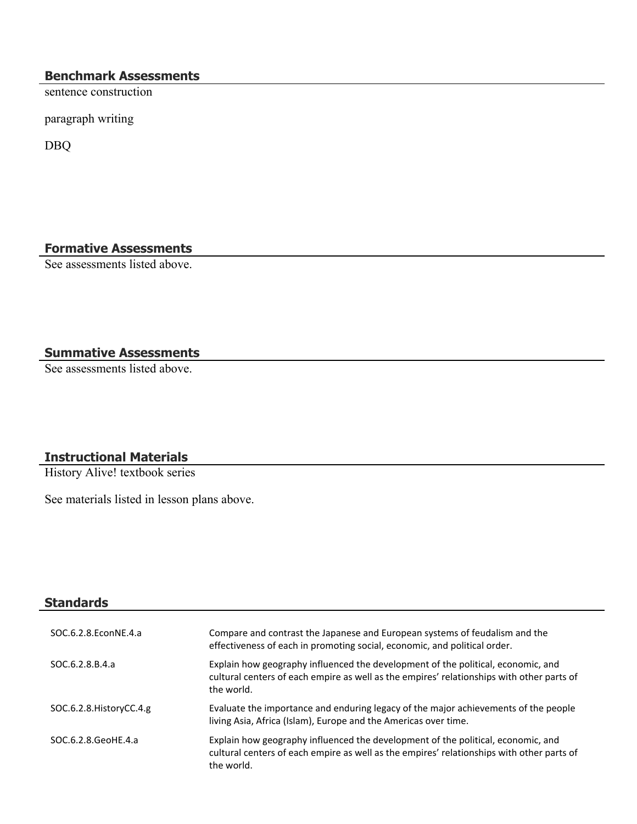#### **Benchmark Assessments**

sentence construction

paragraph writing

DBQ

### **Formative Assessments**

See assessments listed above.

## **Summative Assessments**

See assessments listed above.

#### **Instructional Materials**

History Alive! textbook series

See materials listed in lesson plans above.

| <b>Standards</b>         |                                                                                                                                                                                             |
|--------------------------|---------------------------------------------------------------------------------------------------------------------------------------------------------------------------------------------|
| SOC.6.2.8. EconNE.4.a    | Compare and contrast the Japanese and European systems of feudalism and the<br>effectiveness of each in promoting social, economic, and political order.                                    |
| SOC.6.2.8.B.4.a          | Explain how geography influenced the development of the political, economic, and<br>cultural centers of each empire as well as the empires' relationships with other parts of<br>the world. |
| SOC.6.2.8. HistoryCC.4.g | Evaluate the importance and enduring legacy of the major achievements of the people<br>living Asia, Africa (Islam), Europe and the Americas over time.                                      |
| SOC.6.2.8.GeoHE.4.a      | Explain how geography influenced the development of the political, economic, and<br>cultural centers of each empire as well as the empires' relationships with other parts of<br>the world. |